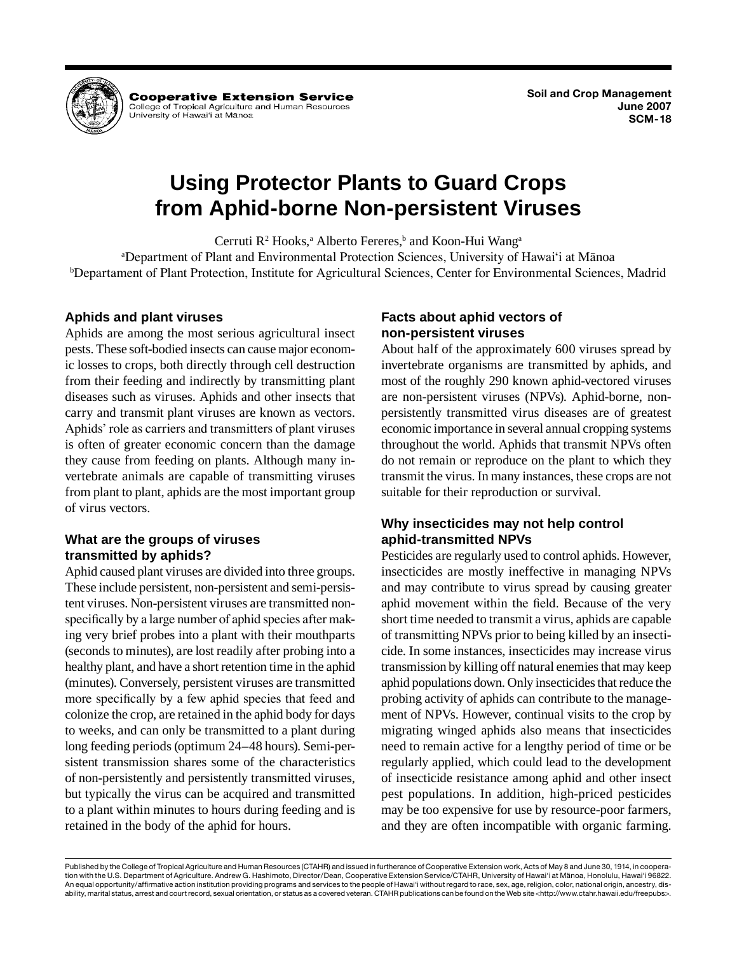

**Cooperative Extension Service** College of Tropical Agriculture and Human Resources<br>University of Hawaiʻi at Mānoa

# **Using Protector Plants to Guard Crops from Aphid-borne Non-persistent Viruses**

Cerruti R<sup>2</sup> Hooks,<sup>a</sup> Alberto Fereres,<sup>b</sup> and Koon-Hui Wang<sup>a</sup>

a Department of Plant and Environmental Protection Sciences, University of Hawai'i at Mänoa b Departament of Plant Protection, Institute for Agricultural Sciences, Center for Environmental Sciences, Madrid

## **Aphids and plant viruses**

Aphids are among the most serious agricultural insect pests. These soft-bodied insects can cause major economic losses to crops, both directly through cell destruction from their feeding and indirectly by transmitting plant diseases such as viruses. Aphids and other insects that carry and transmit plant viruses are known as vectors. Aphids' role as carriers and transmitters of plant viruses is often of greater economic concern than the damage they cause from feeding on plants. Although many invertebrate animals are capable of transmitting viruses from plant to plant, aphids are the most important group of virus vectors.

## **What are the groups of viruses transmitted by aphids?**

Aphid caused plant viruses are divided into three groups. These include persistent, non-persistent and semi-persistent viruses. Non-persistent viruses are transmitted nonspecifically by a large number of aphid species after making very brief probes into a plant with their mouthparts (seconds to minutes), are lost readily after probing into a healthy plant, and have a short retention time in the aphid (minutes). Conversely, persistent viruses are transmitted more specifically by a few aphid species that feed and colonize the crop, are retained in the aphid body for days to weeks, and can only be transmitted to a plant during long feeding periods (optimum 24–48 hours). Semi-persistent transmission shares some of the characteristics of non-persistently and persistently transmitted viruses, but typically the virus can be acquired and transmitted to a plant within minutes to hours during feeding and is retained in the body of the aphid for hours.

# **Facts about aphid vectors of non-persistent viruses**

About half of the approximately 600 viruses spread by invertebrate organisms are transmitted by aphids, and most of the roughly 290 known aphid-vectored viruses are non-persistent viruses (NPVs). Aphid-borne, nonpersistently transmitted virus diseases are of greatest economic importance in several annual cropping systems throughout the world. Aphids that transmit NPVs often do not remain or reproduce on the plant to which they transmit the virus. In many instances, these crops are not suitable for their reproduction or survival.

## **Why insecticides may not help control aphid-transmitted NPVs**

Pesticides are regularly used to control aphids. However, insecticides are mostly ineffective in managing NPVs and may contribute to virus spread by causing greater aphid movement within the field. Because of the very short time needed to transmit a virus, aphids are capable of transmitting NPVs prior to being killed by an insecticide. In some instances, insecticides may increase virus transmission by killing off natural enemies that may keep aphid populations down. Only insecticides that reduce the probing activity of aphids can contribute to the management of NPVs. However, continual visits to the crop by migrating winged aphids also means that insecticides need to remain active for a lengthy period of time or be regularly applied, which could lead to the development of insecticide resistance among aphid and other insect pest populations. In addition, high-priced pesticides may be too expensive for use by resource-poor farmers, and they are often incompatible with organic farming.

Published by the College of Tropical Agriculture and Human Resources (CTAHR) and issued in furtherance of Cooperative Extension work, Acts of May 8 and June 30, 1914, in cooperation with the U.S. Department of Agriculture. Andrew G. Hashimoto, Director/Dean, Cooperative Extension Service/CTAHR, University of Hawai'i at Mänoa, Honolulu, Hawai'i 96822. An equal opportunity/affirmative action institution providing programs and services to the people of Hawai'i without regard to race, sex, age, religion, color, national origin, ancestry, disability, marital status, arrest and court record, sexual orientation, or status as a covered veteran. CTAHR publications can be found on the Web site <http://www.ctahr.hawaii.edu/freepubs>.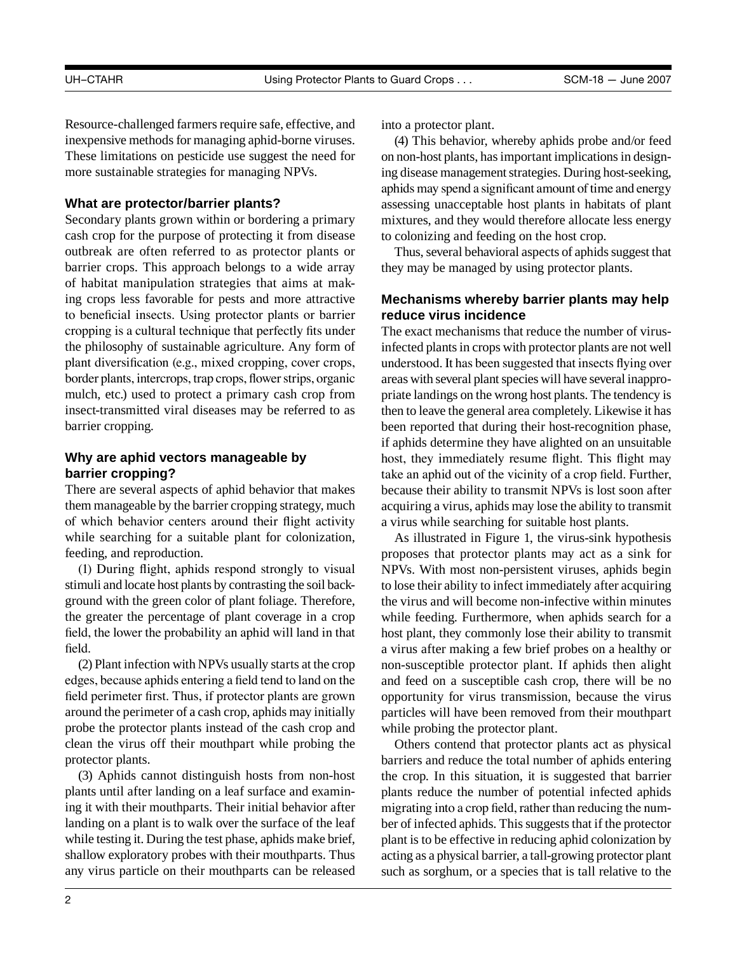Resource-challenged farmers require safe, effective, and inexpensive methods for managing aphid-borne viruses. These limitations on pesticide use suggest the need for more sustainable strategies for managing NPVs.

#### **What are protector/barrier plants?**

Secondary plants grown within or bordering a primary cash crop for the purpose of protecting it from disease outbreak are often referred to as protector plants or barrier crops. This approach belongs to a wide array of habitat manipulation strategies that aims at making crops less favorable for pests and more attractive to beneficial insects. Using protector plants or barrier cropping is a cultural technique that perfectly fits under the philosophy of sustainable agriculture. Any form of plant diversification (e.g., mixed cropping, cover crops, border plants, intercrops, trap crops, flower strips, organic mulch, etc.) used to protect a primary cash crop from insect-transmitted viral diseases may be referred to as barrier cropping.

#### **Why are aphid vectors manageable by barrier cropping?**

There are several aspects of aphid behavior that makes them manageable by the barrier cropping strategy, much of which behavior centers around their flight activity while searching for a suitable plant for colonization, feeding, and reproduction.

(1) During flight, aphids respond strongly to visual stimuli and locate host plants by contrasting the soil background with the green color of plant foliage. Therefore, the greater the percentage of plant coverage in a crop field, the lower the probability an aphid will land in that field.

(2) Plant infection with NPVs usually starts at the crop edges, because aphids entering a field tend to land on the field perimeter first. Thus, if protector plants are grown around the perimeter of a cash crop, aphids may initially probe the protector plants instead of the cash crop and clean the virus off their mouthpart while probing the protector plants.

(3) Aphids cannot distinguish hosts from non-host plants until after landing on a leaf surface and examining it with their mouthparts. Their initial behavior after landing on a plant is to walk over the surface of the leaf while testing it. During the test phase, aphids make brief, shallow exploratory probes with their mouthparts. Thus any virus particle on their mouthparts can be released into a protector plant.

(4) This behavior, whereby aphids probe and/or feed on non-host plants, has important implications in designing disease management strategies. During host-seeking, aphids may spend a significant amount of time and energy assessing unacceptable host plants in habitats of plant mixtures, and they would therefore allocate less energy to colonizing and feeding on the host crop.

Thus, several behavioral aspects of aphids suggest that they may be managed by using protector plants.

#### **Mechanisms whereby barrier plants may help reduce virus incidence**

The exact mechanisms that reduce the number of virusinfected plants in crops with protector plants are not well understood. It has been suggested that insects flying over areas with several plant species will have several inappropriate landings on the wrong host plants. The tendency is then to leave the general area completely. Likewise it has been reported that during their host-recognition phase, if aphids determine they have alighted on an unsuitable host, they immediately resume flight. This flight may take an aphid out of the vicinity of a crop field. Further, because their ability to transmit NPVs is lost soon after acquiring a virus, aphids may lose the ability to transmit a virus while searching for suitable host plants.

As illustrated in Figure 1, the virus-sink hypothesis proposes that protector plants may act as a sink for NPVs. With most non-persistent viruses, aphids begin to lose their ability to infect immediately after acquiring the virus and will become non-infective within minutes while feeding. Furthermore, when aphids search for a host plant, they commonly lose their ability to transmit a virus after making a few brief probes on a healthy or non-susceptible protector plant. If aphids then alight and feed on a susceptible cash crop, there will be no opportunity for virus transmission, because the virus particles will have been removed from their mouthpart while probing the protector plant.

Others contend that protector plants act as physical barriers and reduce the total number of aphids entering the crop. In this situation, it is suggested that barrier plants reduce the number of potential infected aphids migrating into a crop field, rather than reducing the number of infected aphids. This suggests that if the protector plant is to be effective in reducing aphid colonization by acting as a physical barrier, a tall-growing protector plant such as sorghum, or a species that is tall relative to the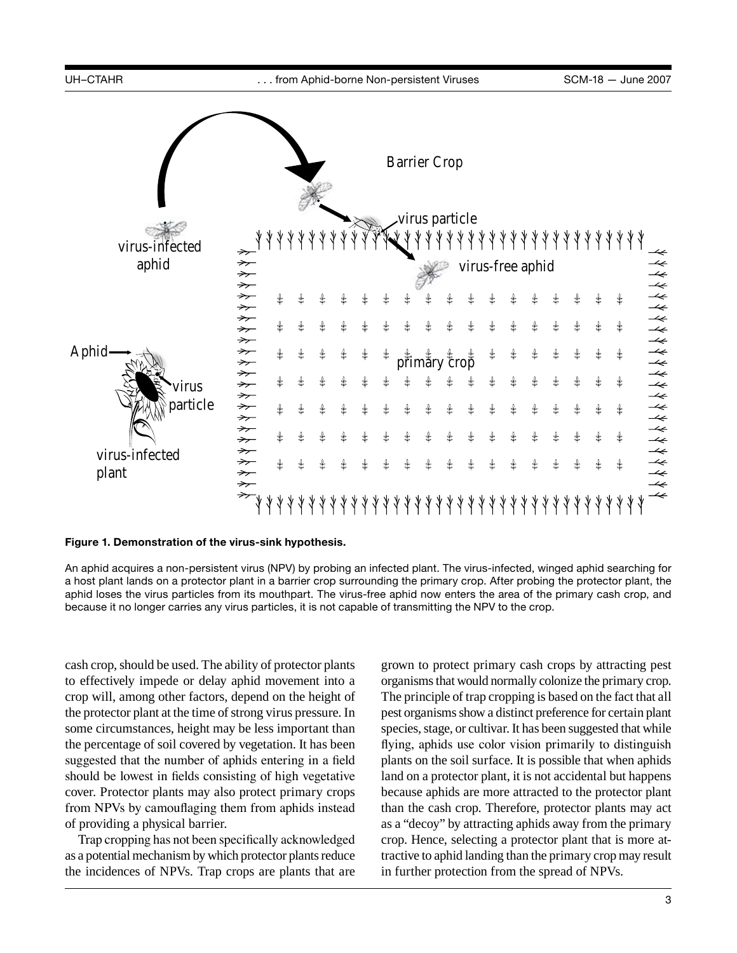

**Figure 1. Demonstration of the virus-sink hypothesis.**

An aphid acquires a non-persistent virus (NPV) by probing an infected plant. The virus-infected, winged aphid searching for a host plant lands on a protector plant in a barrier crop surrounding the primary crop. After probing the protector plant, the aphid loses the virus particles from its mouthpart. The virus-free aphid now enters the area of the primary cash crop, and because it no longer carries any virus particles, it is not capable of transmitting the NPV to the crop.

cash crop, should be used. The ability of protector plants to effectively impede or delay aphid movement into a crop will, among other factors, depend on the height of the protector plant at the time of strong virus pressure. In some circumstances, height may be less important than the percentage of soil covered by vegetation. It has been suggested that the number of aphids entering in a field should be lowest in fields consisting of high vegetative cover. Protector plants may also protect primary crops from NPVs by camouflaging them from aphids instead of providing a physical barrier.

Trap cropping has not been specifically acknowledged as a potential mechanism by which protector plants reduce the incidences of NPVs. Trap crops are plants that are grown to protect primary cash crops by attracting pest organisms that would normally colonize the primary crop. The principle of trap cropping is based on the fact that all pest organisms show a distinct preference for certain plant species, stage, or cultivar. It has been suggested that while flying, aphids use color vision primarily to distinguish plants on the soil surface. It is possible that when aphids land on a protector plant, it is not accidental but happens because aphids are more attracted to the protector plant than the cash crop. Therefore, protector plants may act as a "decoy" by attracting aphids away from the primary crop. Hence, selecting a protector plant that is more attractive to aphid landing than the primary crop may result in further protection from the spread of NPVs.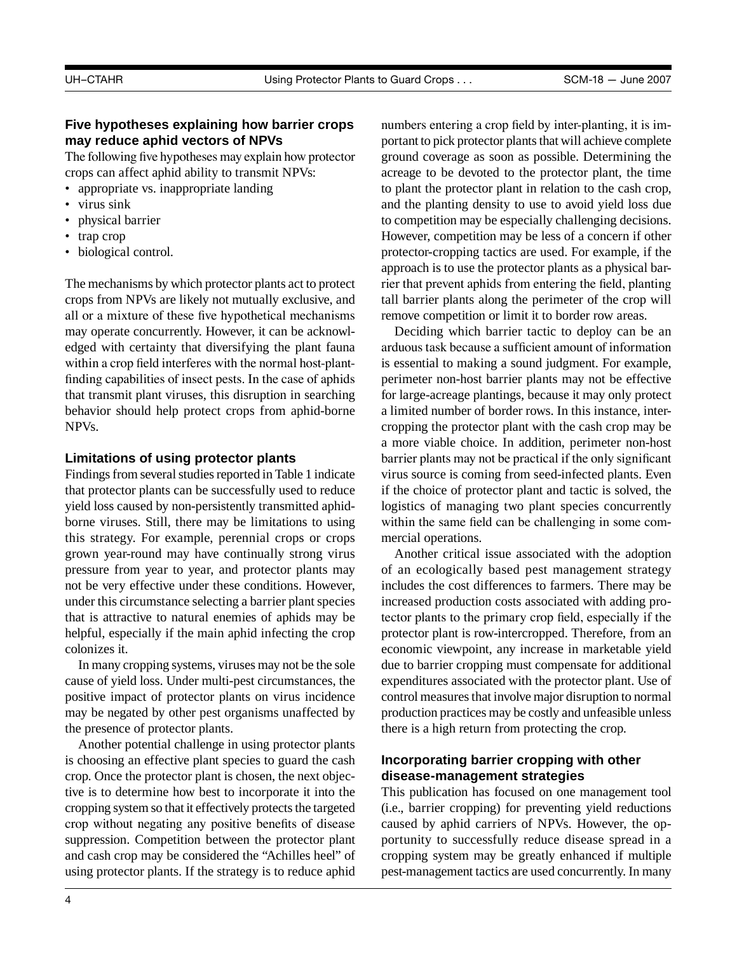## **Five hypotheses explaining how barrier crops may reduce aphid vectors of NPVs**

The following five hypotheses may explain how protector crops can affect aphid ability to transmit NPVs:

- appropriate vs. inappropriate landing
- virus sink
- physical barrier
- trap crop
- biological control.

The mechanisms by which protector plants act to protect crops from NPVs are likely not mutually exclusive, and all or a mixture of these five hypothetical mechanisms may operate concurrently. However, it can be acknowledged with certainty that diversifying the plant fauna within a crop field interferes with the normal host-plantfinding capabilities of insect pests. In the case of aphids that transmit plant viruses, this disruption in searching behavior should help protect crops from aphid-borne NPVs.

#### **Limitations of using protector plants**

Findings from several studies reported in Table 1 indicate that protector plants can be successfully used to reduce yield loss caused by non-persistently transmitted aphidborne viruses. Still, there may be limitations to using this strategy. For example, perennial crops or crops grown year-round may have continually strong virus pressure from year to year, and protector plants may not be very effective under these conditions. However, under this circumstance selecting a barrier plant species that is attractive to natural enemies of aphids may be helpful, especially if the main aphid infecting the crop colonizes it.

In many cropping systems, viruses may not be the sole cause of yield loss. Under multi-pest circumstances, the positive impact of protector plants on virus incidence may be negated by other pest organisms unaffected by the presence of protector plants.

Another potential challenge in using protector plants is choosing an effective plant species to guard the cash crop. Once the protector plant is chosen, the next objective is to determine how best to incorporate it into the cropping system so that it effectively protects the targeted crop without negating any positive benefits of disease suppression. Competition between the protector plant and cash crop may be considered the "Achilles heel" of using protector plants. If the strategy is to reduce aphid numbers entering a crop field by inter-planting, it is important to pick protector plants that will achieve complete ground coverage as soon as possible. Determining the acreage to be devoted to the protector plant, the time to plant the protector plant in relation to the cash crop, and the planting density to use to avoid yield loss due to competition may be especially challenging decisions. However, competition may be less of a concern if other protector-cropping tactics are used. For example, if the approach is to use the protector plants as a physical barrier that prevent aphids from entering the field, planting tall barrier plants along the perimeter of the crop will remove competition or limit it to border row areas.

Deciding which barrier tactic to deploy can be an arduous task because a sufficient amount of information is essential to making a sound judgment. For example, perimeter non-host barrier plants may not be effective for large-acreage plantings, because it may only protect a limited number of border rows. In this instance, intercropping the protector plant with the cash crop may be a more viable choice. In addition, perimeter non-host barrier plants may not be practical if the only significant virus source is coming from seed-infected plants. Even if the choice of protector plant and tactic is solved, the logistics of managing two plant species concurrently within the same field can be challenging in some commercial operations.

Another critical issue associated with the adoption of an ecologically based pest management strategy includes the cost differences to farmers. There may be increased production costs associated with adding protector plants to the primary crop field, especially if the protector plant is row-intercropped. Therefore, from an economic viewpoint, any increase in marketable yield due to barrier cropping must compensate for additional expenditures associated with the protector plant. Use of control measures that involve major disruption to normal production practices may be costly and unfeasible unless there is a high return from protecting the crop.

#### **Incorporating barrier cropping with other disease-management strategies**

This publication has focused on one management tool (i.e., barrier cropping) for preventing yield reductions caused by aphid carriers of NPVs. However, the opportunity to successfully reduce disease spread in a cropping system may be greatly enhanced if multiple pest-management tactics are used concurrently. In many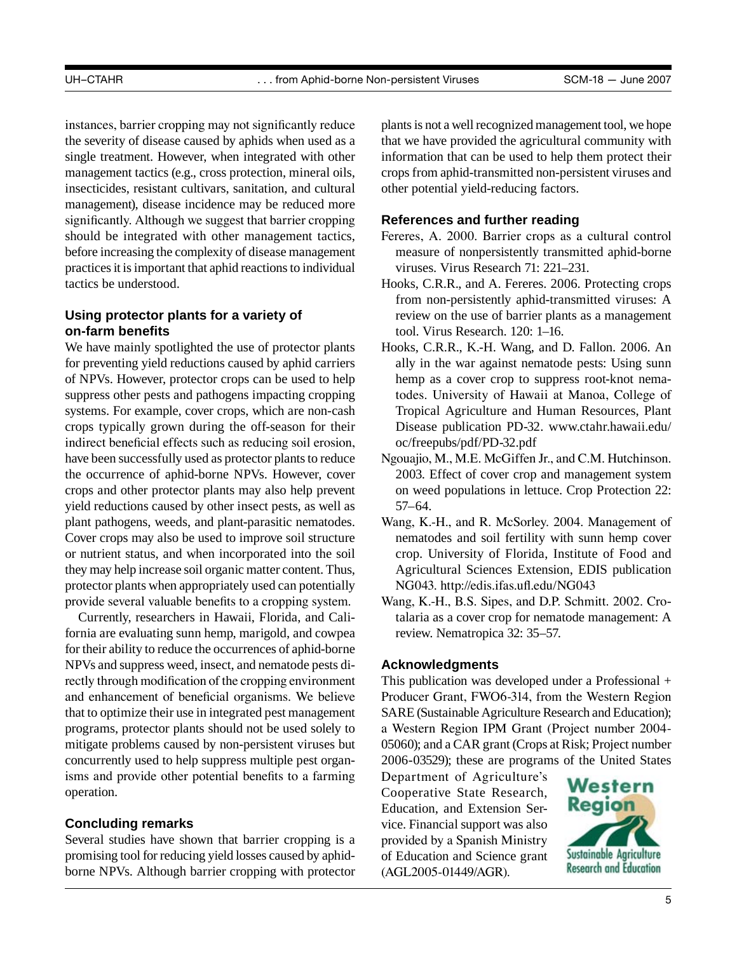instances, barrier cropping may not significantly reduce the severity of disease caused by aphids when used as a single treatment. However, when integrated with other management tactics (e.g., cross protection, mineral oils, insecticides, resistant cultivars, sanitation, and cultural management), disease incidence may be reduced more significantly. Although we suggest that barrier cropping should be integrated with other management tactics, before increasing the complexity of disease management practices it is important that aphid reactions to individual tactics be understood.

#### **Using protector plants for a variety of on-farm benefits**

We have mainly spotlighted the use of protector plants for preventing yield reductions caused by aphid carriers of NPVs. However, protector crops can be used to help suppress other pests and pathogens impacting cropping systems. For example, cover crops, which are non-cash crops typically grown during the off-season for their indirect beneficial effects such as reducing soil erosion, have been successfully used as protector plants to reduce the occurrence of aphid-borne NPVs. However, cover crops and other protector plants may also help prevent yield reductions caused by other insect pests, as well as plant pathogens, weeds, and plant-parasitic nematodes. Cover crops may also be used to improve soil structure or nutrient status, and when incorporated into the soil they may help increase soil organic matter content. Thus, protector plants when appropriately used can potentially provide several valuable benefits to a cropping system.

Currently, researchers in Hawaii, Florida, and California are evaluating sunn hemp, marigold, and cowpea for their ability to reduce the occurrences of aphid-borne NPVs and suppress weed, insect, and nematode pests directly through modification of the cropping environment and enhancement of beneficial organisms. We believe that to optimize their use in integrated pest management programs, protector plants should not be used solely to mitigate problems caused by non-persistent viruses but concurrently used to help suppress multiple pest organisms and provide other potential benefits to a farming operation.

#### **Concluding remarks**

Several studies have shown that barrier cropping is a promising tool for reducing yield losses caused by aphidborne NPVs. Although barrier cropping with protector plants is not a well recognized management tool, we hope that we have provided the agricultural community with information that can be used to help them protect their crops from aphid-transmitted non-persistent viruses and other potential yield-reducing factors.

## **References and further reading**

- Fereres, A. 2000. Barrier crops as a cultural control measure of nonpersistently transmitted aphid-borne viruses. Virus Research 71: 221–231.
- Hooks, C.R.R., and A. Fereres. 2006. Protecting crops from non-persistently aphid-transmitted viruses: A review on the use of barrier plants as a management tool. Virus Research. 120: 1–16.
- Hooks, C.R.R., K.-H. Wang, and D. Fallon. 2006. An ally in the war against nematode pests: Using sunn hemp as a cover crop to suppress root-knot nematodes. University of Hawaii at Manoa, College of Tropical Agriculture and Human Resources, Plant Disease publication PD-32. www.ctahr.hawaii.edu/ oc/freepubs/pdf/PD-32.pdf
- Ngouajio, M., M.E. McGiffen Jr., and C.M. Hutchinson. 2003. Effect of cover crop and management system on weed populations in lettuce. Crop Protection 22: 57–64.
- Wang, K.-H., and R. McSorley. 2004. Management of nematodes and soil fertility with sunn hemp cover crop. University of Florida, Institute of Food and Agricultural Sciences Extension, EDIS publication NG043. http://edis.ifas.ufl.edu/NG043
- Wang, K.-H., B.S. Sipes, and D.P. Schmitt. 2002. Crotalaria as a cover crop for nematode management: A review. Nematropica 32: 35–57.

#### **Acknowledgments**

This publication was developed under a Professional + Producer Grant, FWO6-314, from the Western Region SARE (Sustainable Agriculture Research and Education); a Western Region IPM Grant (Project number 2004- 05060); and a CAR grant (Crops at Risk; Project number 2006-03529); these are programs of the United States

Department of Agriculture's Cooperative State Research, Education, and Extension Service. Financial support was also provided by a Spanish Ministry of Education and Science grant (AGL2005-01449/AGR).

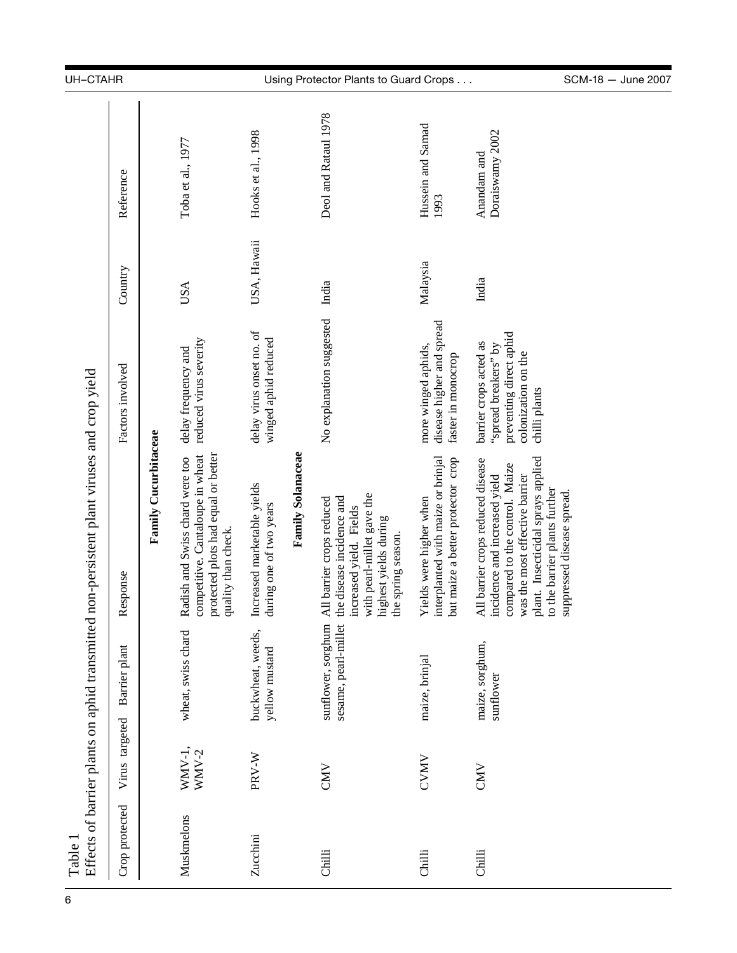| Table          |                 |                                                          | Effects of barrier plants on aphid transmitted non-persistent plant viruses and crop yield                                                                                                                                                  |                                                                                                                   |             |                                |
|----------------|-----------------|----------------------------------------------------------|---------------------------------------------------------------------------------------------------------------------------------------------------------------------------------------------------------------------------------------------|-------------------------------------------------------------------------------------------------------------------|-------------|--------------------------------|
| Crop protected | Virus targeted  | Barrier plant                                            | Response                                                                                                                                                                                                                                    | Factors involved                                                                                                  | Country     | Reference                      |
|                |                 |                                                          | <b>Family Cucurbitaceae</b>                                                                                                                                                                                                                 |                                                                                                                   |             |                                |
| Muskmelons     | WMV-1,<br>WMV-2 | wheat, swiss chard                                       | protected plots had equal or better<br>competitive. Cantaloupe in wheat<br>Radish and Swiss chard were too<br>quality than check.                                                                                                           | reduced virus severity<br>delay frequency and                                                                     | USA         | Toba et al., 1977              |
| Zucchini       | PRV-W           | buckwheat, weeds<br>yellow mustard                       | Increased marketable vields<br>during one of two years                                                                                                                                                                                      | delay virus onset no. of<br>winged aphid reduced                                                                  | USA, Hawaii | Hooks et al., 1998             |
|                |                 |                                                          | <b>Family Solanaceae</b>                                                                                                                                                                                                                    |                                                                                                                   |             |                                |
| Chilli         | <b>CMV</b>      | sunflower, sorghum<br>$\mathbf{d}$<br>sesame, pearl-mill | with pearl-millet gave the<br>All barrier crops reduced<br>the disease incidence and<br>increased yield. Fields<br>highest yields during<br>the spring season.                                                                              | No explanation suggested                                                                                          | India       | Deol and Rataul 1978           |
| Chilli         | CVMV            | maize, brinjal                                           | interplanted with maize or brinjal<br>but maize a better protector crop<br>Yields were higher when                                                                                                                                          | disease higher and spread<br>more winged aphids,<br>faster in monocrop                                            | Malaysia    | Hussein and Samad<br>1993      |
| Chilli         | CMV             | maize, sorghum,<br>sunflower                             | plant. Insecticidal sprays applied<br>All barrier crops reduced disease<br>compared to the control. Maize<br>was the most effective barrier<br>incidence and increased vield<br>to the barrier plants further<br>suppressed disease spread. | preventing direct aphid<br>barrier crops acted as<br>"spread breakers" by<br>colonization on the<br>chilli plants | India       | Doraiswamy 2002<br>Anandam and |